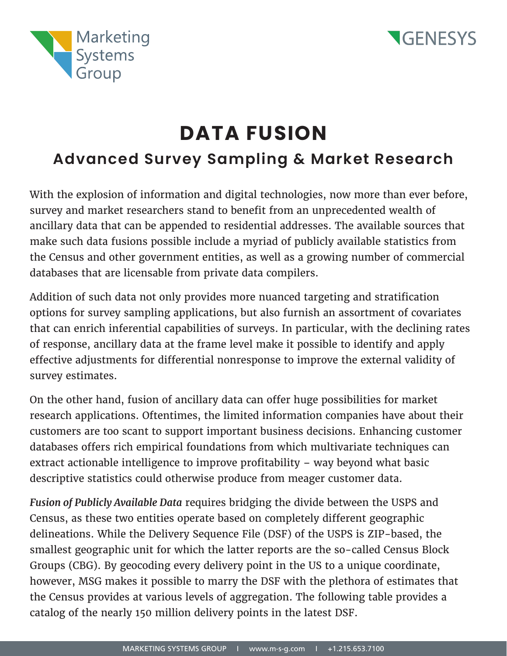



## **DATA FUSION Advanced Survey Sampling & Market Research**

With the explosion of information and digital technologies, now more than ever before, survey and market researchers stand to benefit from an unprecedented wealth of ancillary data that can be appended to residential addresses. The available sources that make such data fusions possible include a myriad of publicly available statistics from the Census and other government entities, as well as a growing number of commercial databases that are licensable from private data compilers.

Addition of such data not only provides more nuanced targeting and stratification options for survey sampling applications, but also furnish an assortment of covariates that can enrich inferential capabilities of surveys. In particular, with the declining rates of response, ancillary data at the frame level make it possible to identify and apply effective adjustments for differential nonresponse to improve the external validity of survey estimates.

On the other hand, fusion of ancillary data can offer huge possibilities for market research applications. Oftentimes, the limited information companies have about their customers are too scant to support important business decisions. Enhancing customer databases offers rich empirical foundations from which multivariate techniques can extract actionable intelligence to improve profitability – way beyond what basic descriptive statistics could otherwise produce from meager customer data.

*Fusion of Publicly Available Data* requires bridging the divide between the USPS and Census, as these two entities operate based on completely different geographic delineations. While the Delivery Sequence File (DSF) of the USPS is ZIP-based, the smallest geographic unit for which the latter reports are the so-called Census Block Groups (CBG). By geocoding every delivery point in the US to a unique coordinate, however, MSG makes it possible to marry the DSF with the plethora of estimates that the Census provides at various levels of aggregation. The following table provides a catalog of the nearly 150 million delivery points in the latest DSF.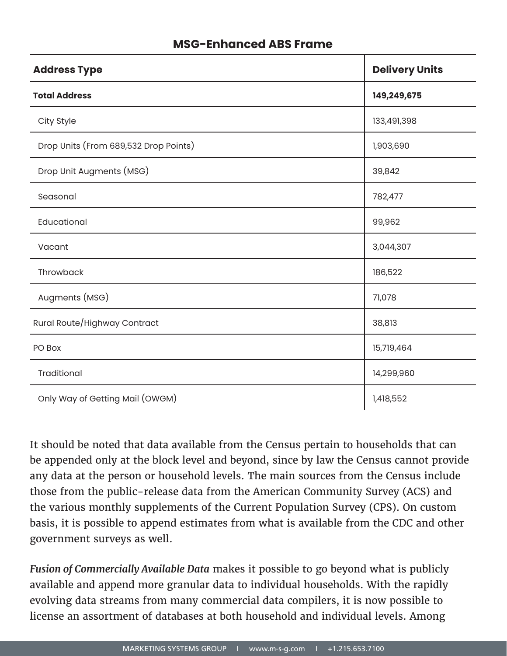## **MSG-Enhanced ABS Frame**

| <b>Address Type</b>                   | <b>Delivery Units</b> |
|---------------------------------------|-----------------------|
| <b>Total Address</b>                  | 149,249,675           |
| City Style                            | 133,491,398           |
| Drop Units (From 689,532 Drop Points) | 1,903,690             |
| Drop Unit Augments (MSG)              | 39,842                |
| Seasonal                              | 782,477               |
| Educational                           | 99,962                |
| Vacant                                | 3,044,307             |
| Throwback                             | 186,522               |
| Augments (MSG)                        | 71,078                |
| Rural Route/Highway Contract          | 38,813                |
| PO Box                                | 15,719,464            |
| Traditional                           | 14,299,960            |
| Only Way of Getting Mail (OWGM)       | 1,418,552             |

It should be noted that data available from the Census pertain to households that can be appended only at the block level and beyond, since by law the Census cannot provide any data at the person or household levels. The main sources from the Census include those from the public-release data from the American Community Survey (ACS) and the various monthly supplements of the Current Population Survey (CPS). On custom basis, it is possible to append estimates from what is available from the CDC and other government surveys as well.

*Fusion of Commercially Available Data* makes it possible to go beyond what is publicly available and append more granular data to individual households. With the rapidly evolving data streams from many commercial data compilers, it is now possible to license an assortment of databases at both household and individual levels. Among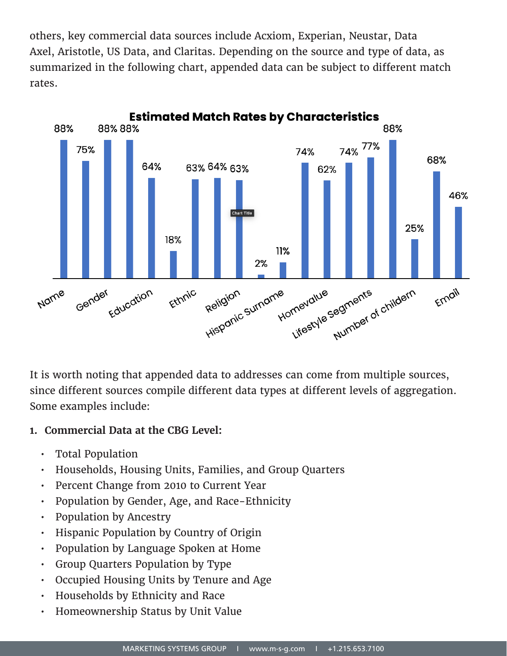others, key commercial data sources include Acxiom, Experian, Neustar, Data Axel, Aristotle, US Data, and Claritas. Depending on the source and type of data, as summarized in the following chart, appended data can be subject to different match rates.



It is worth noting that appended data to addresses can come from multiple sources, since different sources compile different data types at different levels of aggregation. Some examples include:

## **1. Commercial Data at the CBG Level:**

- Total Population
- Households, Housing Units, Families, and Group Quarters
- Percent Change from 2010 to Current Year
- Population by Gender, Age, and Race-Ethnicity
- Population by Ancestry
- Hispanic Population by Country of Origin
- Population by Language Spoken at Home
- Group Quarters Population by Type
- Occupied Housing Units by Tenure and Age
- Households by Ethnicity and Race
- Homeownership Status by Unit Value